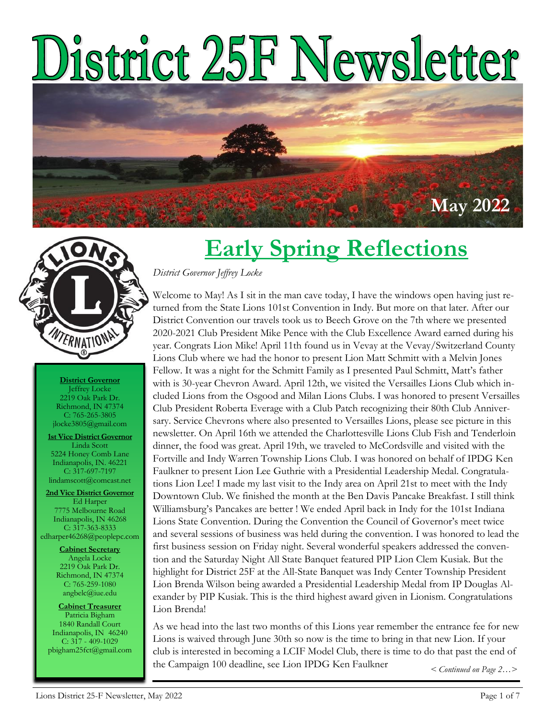# District 25F Newsletter





**District Governor** Jeffrey Locke 2219 Oak Park Dr. Richmond, IN 47374 C: 765-265-3805 jlocke3805@gmail.com

**1st Vice District Governor** Linda Scott 5224 Honey Comb Lane Indianapolis, IN. 46221 C: 317-697-7197 lindamscott@comcast.net

**2nd Vice District Governor** Ed Harper 7775 Melbourne Road Indianapolis, IN 46268 C: 317-363-8333 edharper46268@peoplepc.com

> **Cabinet Secretary** Angela Locke 2219 Oak Park Dr. Richmond, IN 47374 C: 765-259-1080 angbelc@iue.edu

**Cabinet Treasurer** Patricia Bigham 1840 Randall Court Indianapolis, IN 46240 C: 317 - 409-1029 pbigham25fct@gmail.com

### **Early Spring Reflections**

#### *District Governor Jeffrey Locke*

Welcome to May! As I sit in the man cave today, I have the windows open having just returned from the State Lions 101st Convention in Indy. But more on that later. After our District Convention our travels took us to Beech Grove on the 7th where we presented 2020-2021 Club President Mike Pence with the Club Excellence Award earned during his year. Congrats Lion Mike! April 11th found us in Vevay at the Vevay/Switzerland County Lions Club where we had the honor to present Lion Matt Schmitt with a Melvin Jones Fellow. It was a night for the Schmitt Family as I presented Paul Schmitt, Matt's father with is 30-year Chevron Award. April 12th, we visited the Versailles Lions Club which included Lions from the Osgood and Milan Lions Clubs. I was honored to present Versailles Club President Roberta Everage with a Club Patch recognizing their 80th Club Anniversary. Service Chevrons where also presented to Versailles Lions, please see picture in this newsletter. On April 16th we attended the Charlottesville Lions Club Fish and Tenderloin dinner, the food was great. April 19th, we traveled to McCordsville and visited with the Fortville and Indy Warren Township Lions Club. I was honored on behalf of IPDG Ken Faulkner to present Lion Lee Guthrie with a Presidential Leadership Medal. Congratulations Lion Lee! I made my last visit to the Indy area on April 21st to meet with the Indy Downtown Club. We finished the month at the Ben Davis Pancake Breakfast. I still think Williamsburg's Pancakes are better ! We ended April back in Indy for the 101st Indiana Lions State Convention. During the Convention the Council of Governor's meet twice and several sessions of business was held during the convention. I was honored to lead the first business session on Friday night. Several wonderful speakers addressed the convention and the Saturday Night All State Banquet featured PIP Lion Clem Kusiak. But the highlight for District 25F at the All-State Banquet was Indy Center Township President Lion Brenda Wilson being awarded a Presidential Leadership Medal from IP Douglas Alexander by PIP Kusiak. This is the third highest award given in Lionism. Congratulations Lion Brenda!

As we head into the last two months of this Lions year remember the entrance fee for new Lions is waived through June 30th so now is the time to bring in that new Lion. If your club is interested in becoming a LCIF Model Club, there is time to do that past the end of the Campaign 100 deadline, see Lion IPDG Ken Faulkner *< Continued on Page 2…>*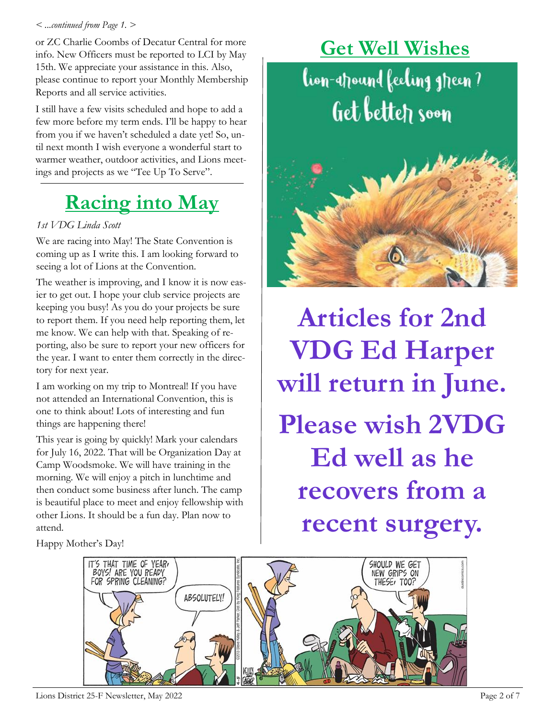#### *< ...continued from Page 1. >*

or ZC Charlie Coombs of Decatur Central for more info. New Officers must be reported to LCI by May 15th. We appreciate your assistance in this. Also, please continue to report your Monthly Membership Reports and all service activities.

I still have a few visits scheduled and hope to add a few more before my term ends. I'll be happy to hear from you if we haven't scheduled a date yet! So, until next month I wish everyone a wonderful start to warmer weather, outdoor activities, and Lions meetings and projects as we "Tee Up To Serve".

### **Racing into May**

#### *1st VDG Linda Scott*

We are racing into May! The State Convention is coming up as I write this. I am looking forward to seeing a lot of Lions at the Convention.

The weather is improving, and I know it is now easier to get out. I hope your club service projects are keeping you busy! As you do your projects be sure to report them. If you need help reporting them, let me know. We can help with that. Speaking of reporting, also be sure to report your new officers for the year. I want to enter them correctly in the directory for next year.

I am working on my trip to Montreal! If you have not attended an International Convention, this is one to think about! Lots of interesting and fun things are happening there!

This year is going by quickly! Mark your calendars for July 16, 2022. That will be Organization Day at Camp Woodsmoke. We will have training in the morning. We will enjoy a pitch in lunchtime and then conduct some business after lunch. The camp is beautiful place to meet and enjoy fellowship with other Lions. It should be a fun day. Plan now to attend.

Happy Mother's Day!



**Articles for 2nd VDG Ed Harper will return in June. Please wish 2VDG Ed well as he recovers from a recent surgery.** 

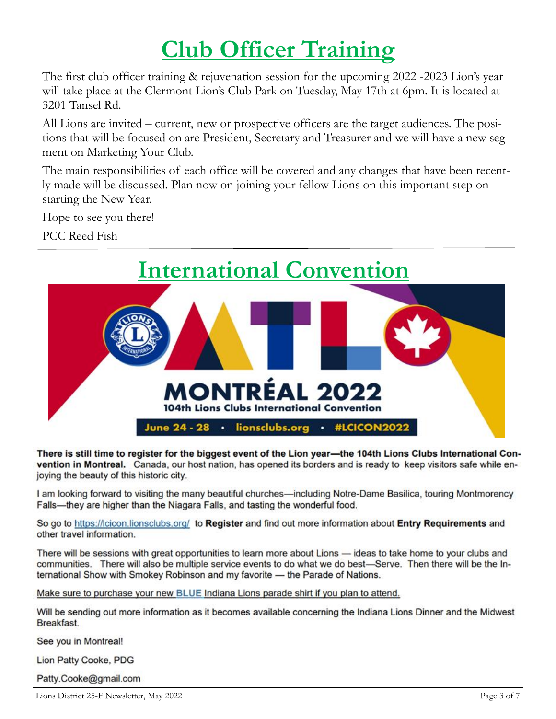### **Club Officer Training**

The first club officer training & rejuvenation session for the upcoming 2022 -2023 Lion's year will take place at the Clermont Lion's Club Park on Tuesday, May 17th at 6pm. It is located at 3201 Tansel Rd.

All Lions are invited – current, new or prospective officers are the target audiences. The positions that will be focused on are President, Secretary and Treasurer and we will have a new segment on Marketing Your Club.

The main responsibilities of each office will be covered and any changes that have been recently made will be discussed. Plan now on joining your fellow Lions on this important step on starting the New Year.

Hope to see you there!

PCC Reed Fish



There is still time to register for the biggest event of the Lion year-the 104th Lions Clubs International Convention in Montreal. Canada, our host nation, has opened its borders and is ready to keep visitors safe while enjoying the beauty of this historic city.

I am looking forward to visiting the many beautiful churches-including Notre-Dame Basilica, touring Montmorency Falls-they are higher than the Niagara Falls, and tasting the wonderful food.

So go to https://lcicon.lionsclubs.org/ to Register and find out more information about Entry Requirements and other travel information.

There will be sessions with great opportunities to learn more about Lions - ideas to take home to your clubs and communities. There will also be multiple service events to do what we do best-Serve. Then there will be the International Show with Smokey Robinson and my favorite - the Parade of Nations.

Make sure to purchase your new BLUE Indiana Lions parade shirt if you plan to attend.

Will be sending out more information as it becomes available concerning the Indiana Lions Dinner and the Midwest Breakfast.

See you in Montreal!

Lion Patty Cooke, PDG

Patty.Cooke@gmail.com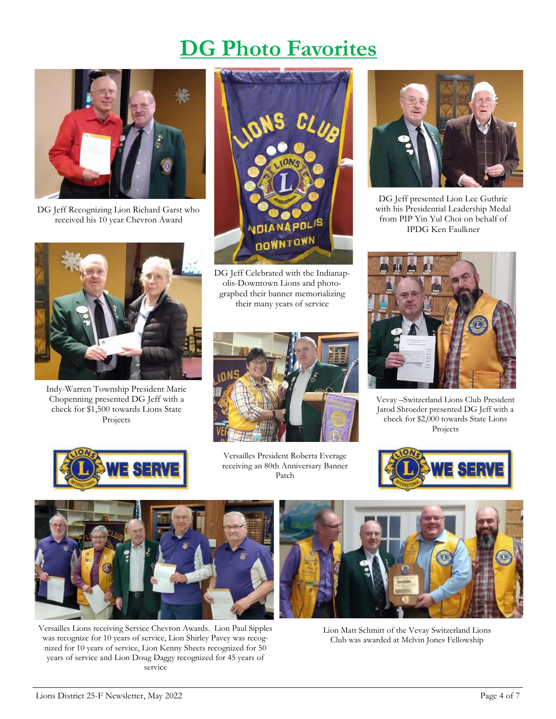#### **DG Photo Favorites**



DG Jeff Recognizing Lion Richard Garst who received his 10 year Chevron Award



DG Jeff Celebrated with the Indianapolis-Downtown Lions and photographed their banner memorializing their many years of service



DG Jeff presented Lion Lee Guthrie with his Presidential Leadership Medal from PIP Yin Yul Choi on behalf of IPDG Ken Faulkner



Vevay –Switzerland Lions Club President Jarod Shroeder presented DG Jeff with a check for \$2,000 towards State Lions Projects



Indy-Warren Township President Marie Chopenning presented DG Jeff with a check for \$1,500 towards Lions State Projects



Versailles President Roberta Everage receiving an 80th Anniversary Banner Patch





Versailles Lions receiving Service Chevron Awards. Lion Paul Sipples was recognize for 10 years of service, Lion Shirley Pavey was recognized for 10 years of service, Lion Kenny Sheets recognized for 50 years of service and Lion Doug Daggy recognized for 45 years of service



Lion Matt Schmitt of the Vevay Switzerland Lions Club was awarded at Melvin Jones Fellowship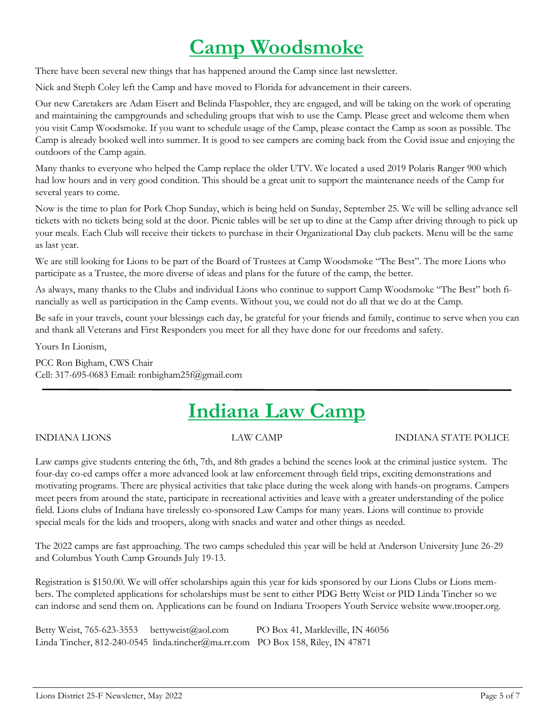#### **Camp Woodsmoke**

There have been several new things that has happened around the Camp since last newsletter.

Nick and Steph Coley left the Camp and have moved to Florida for advancement in their careers.

Our new Caretakers are Adam Eisert and Belinda Flaspohler, they are engaged, and will be taking on the work of operating and maintaining the campgrounds and scheduling groups that wish to use the Camp. Please greet and welcome them when you visit Camp Woodsmoke. If you want to schedule usage of the Camp, please contact the Camp as soon as possible. The Camp is already booked well into summer. It is good to see campers are coming back from the Covid issue and enjoying the outdoors of the Camp again.

Many thanks to everyone who helped the Camp replace the older UTV. We located a used 2019 Polaris Ranger 900 which had low hours and in very good condition. This should be a great unit to support the maintenance needs of the Camp for several years to come.

Now is the time to plan for Pork Chop Sunday, which is being held on Sunday, September 25. We will be selling advance sell tickets with no tickets being sold at the door. Picnic tables will be set up to dine at the Camp after driving through to pick up your meals. Each Club will receive their tickets to purchase in their Organizational Day club packets. Menu will be the same as last year.

We are still looking for Lions to be part of the Board of Trustees at Camp Woodsmoke "The Best". The more Lions who participate as a Trustee, the more diverse of ideas and plans for the future of the camp, the better.

As always, many thanks to the Clubs and individual Lions who continue to support Camp Woodsmoke "The Best" both financially as well as participation in the Camp events. Without you, we could not do all that we do at the Camp.

Be safe in your travels, count your blessings each day, be grateful for your friends and family, continue to serve when you can and thank all Veterans and First Responders you meet for all they have done for our freedoms and safety.

Yours In Lionism,

PCC Ron Bigham, CWS Chair Cell: 317-695-0683 Email: ronbigham25f@gmail.com

#### **Indiana Law Camp**

INDIANA LIONS LAW CAMP INDIANA STATE POLICE

Law camps give students entering the 6th, 7th, and 8th grades a behind the scenes look at the criminal justice system. The four-day co-ed camps offer a more advanced look at law enforcement through field trips, exciting demonstrations and motivating programs. There are physical activities that take place during the week along with hands-on programs. Campers meet peers from around the state, participate in recreational activities and leave with a greater understanding of the police field. Lions clubs of Indiana have tirelessly co-sponsored Law Camps for many years. Lions will continue to provide special meals for the kids and troopers, along with snacks and water and other things as needed.

The 2022 camps are fast approaching. The two camps scheduled this year will be held at Anderson University June 26-29 and Columbus Youth Camp Grounds July 19-13.

Registration is \$150.00. We will offer scholarships again this year for kids sponsored by our Lions Clubs or Lions members. The completed applications for scholarships must be sent to either PDG Betty Weist or PID Linda Tincher so we can indorse and send them on. Applications can be found on Indiana Troopers Youth Service website www.trooper.org.

Betty Weist, 765-623-3553 bettyweist@aol.com PO Box 41, Markleville, IN 46056 Linda Tincher, 812-240-0545 linda.tincher@ma.rr.com PO Box 158, Riley, IN 47871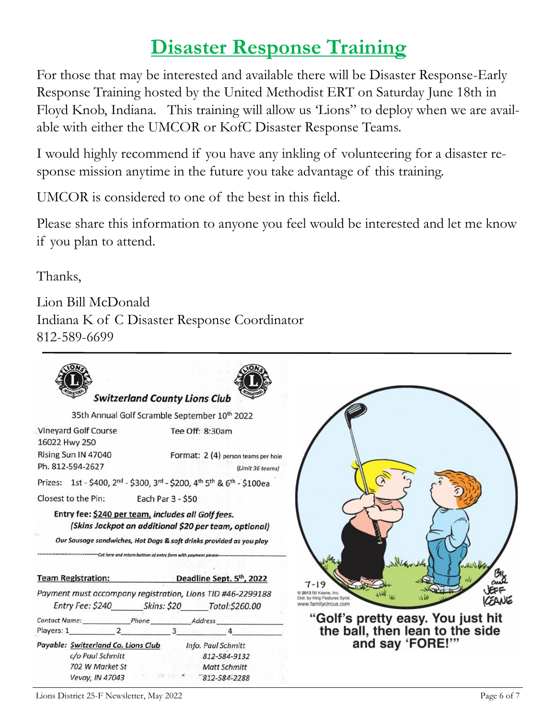#### **Disaster Response Training**

For those that may be interested and available there will be Disaster Response-Early Response Training hosted by the United Methodist ERT on Saturday June 18th in Floyd Knob, Indiana. This training will allow us 'Lions" to deploy when we are available with either the UMCOR or KofC Disaster Response Teams.

I would highly recommend if you have any inkling of volunteering for a disaster response mission anytime in the future you take advantage of this training.

UMCOR is considered to one of the best in this field.

Please share this information to anyone you feel would be interested and let me know if you plan to attend.

Thanks,

Lion Bill McDonald Indiana K of C Disaster Response Coordinator 812-589-6699



Lions District 25-F Newsletter, May 2022 Page 6 of 7